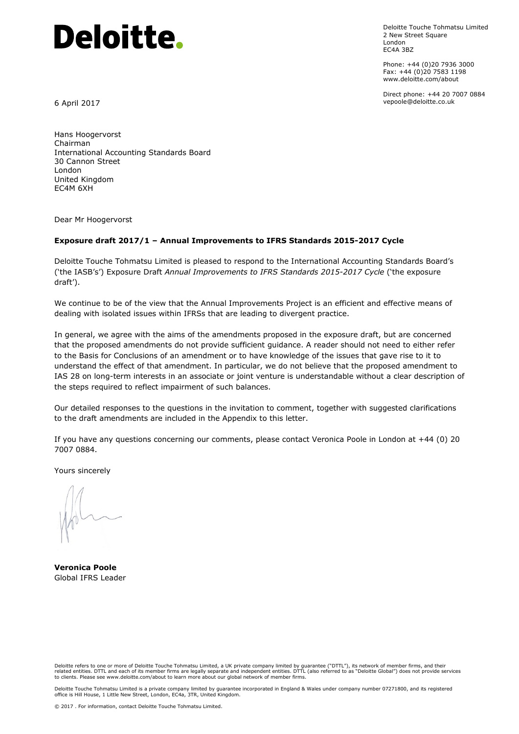# **Deloitte.**

Deloitte Touche Tohmatsu Limited 2 New Street Square London EC4A 3BZ

Phone: +44 (0)20 7936 3000 Fax: +44 (0)20 7583 1198 www.deloitte.com/about

Direct phone: +44 20 7007 0884 vepoole@deloitte.co.uk

6 April 2017

Hans Hoogervorst Chairman International Accounting Standards Board 30 Cannon Street London United Kingdom EC4M 6XH

Dear Mr Hoogervorst

#### **Exposure draft 2017/1 – Annual Improvements to IFRS Standards 2015-2017 Cycle**

Deloitte Touche Tohmatsu Limited is pleased to respond to the International Accounting Standards Board's ('the IASB's') Exposure Draft *Annual Improvements to IFRS Standards 2015-2017 Cycle* ('the exposure draft').

We continue to be of the view that the Annual Improvements Project is an efficient and effective means of dealing with isolated issues within IFRSs that are leading to divergent practice.

In general, we agree with the aims of the amendments proposed in the exposure draft, but are concerned that the proposed amendments do not provide sufficient guidance. A reader should not need to either refer to the Basis for Conclusions of an amendment or to have knowledge of the issues that gave rise to it to understand the effect of that amendment. In particular, we do not believe that the proposed amendment to IAS 28 on long-term interests in an associate or joint venture is understandable without a clear description of the steps required to reflect impairment of such balances.

Our detailed responses to the questions in the invitation to comment, together with suggested clarifications to the draft amendments are included in the Appendix to this letter.

If you have any questions concerning our comments, please contact Veronica Poole in London at +44 (0) 20 7007 0884.

Yours sincerely

**Veronica Poole**  Global IFRS Leader

Deloitte refers to one or more of Deloitte Touche Tohmatsu Limited, a UK private company limited by guarantee ("DTTL"), its network of member firms, and their related entities. DTTL and each of its member firms are legally separate and independent entities. DTTL (also referred to as "Deloitte Global") does not provide services<br>to clients. Please see www.deloitte.com/about to lea

Deloitte Touche Tohmatsu Limited is a private company limited by guarantee incorporated in England & Wales under company number 07271800, and its registered<br>office is Hill House, 1 Little New Street, London, EC4a, 3TR, Uni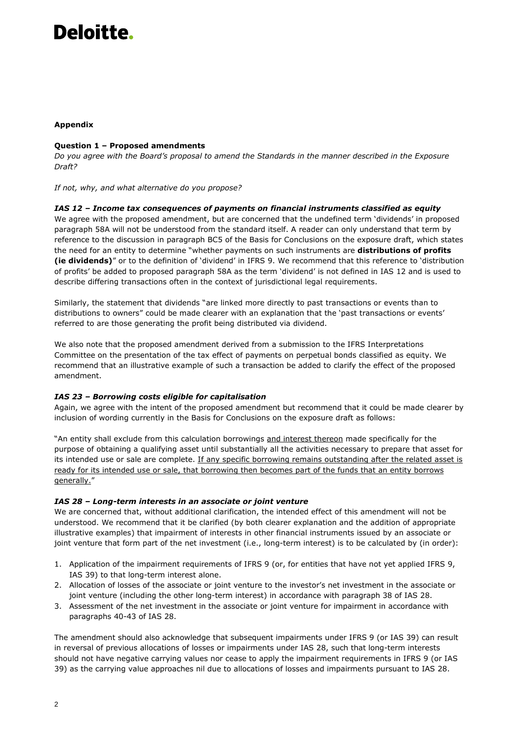# Deloitte.

## **Appendix**

### **Question 1 – Proposed amendments**

*Do you agree with the Board's proposal to amend the Standards in the manner described in the Exposure Draft?* 

*If not, why, and what alternative do you propose?* 

#### *IAS 12 – Income tax consequences of payments on financial instruments classified as equity*

We agree with the proposed amendment, but are concerned that the undefined term 'dividends' in proposed paragraph 58A will not be understood from the standard itself. A reader can only understand that term by reference to the discussion in paragraph BC5 of the Basis for Conclusions on the exposure draft, which states the need for an entity to determine "whether payments on such instruments are **distributions of profits (ie dividends)**" or to the definition of 'dividend' in IFRS 9. We recommend that this reference to 'distribution of profits' be added to proposed paragraph 58A as the term 'dividend' is not defined in IAS 12 and is used to describe differing transactions often in the context of jurisdictional legal requirements.

Similarly, the statement that dividends "are linked more directly to past transactions or events than to distributions to owners" could be made clearer with an explanation that the 'past transactions or events' referred to are those generating the profit being distributed via dividend.

We also note that the proposed amendment derived from a submission to the IFRS Interpretations Committee on the presentation of the tax effect of payments on perpetual bonds classified as equity. We recommend that an illustrative example of such a transaction be added to clarify the effect of the proposed amendment.

#### *IAS 23 – Borrowing costs eligible for capitalisation*

Again, we agree with the intent of the proposed amendment but recommend that it could be made clearer by inclusion of wording currently in the Basis for Conclusions on the exposure draft as follows:

"An entity shall exclude from this calculation borrowings and interest thereon made specifically for the purpose of obtaining a qualifying asset until substantially all the activities necessary to prepare that asset for its intended use or sale are complete. If any specific borrowing remains outstanding after the related asset is ready for its intended use or sale, that borrowing then becomes part of the funds that an entity borrows generally."

#### *IAS 28 – Long-term interests in an associate or joint venture*

We are concerned that, without additional clarification, the intended effect of this amendment will not be understood. We recommend that it be clarified (by both clearer explanation and the addition of appropriate illustrative examples) that impairment of interests in other financial instruments issued by an associate or joint venture that form part of the net investment (i.e., long-term interest) is to be calculated by (in order):

- 1. Application of the impairment requirements of IFRS 9 (or, for entities that have not yet applied IFRS 9, IAS 39) to that long-term interest alone.
- 2. Allocation of losses of the associate or joint venture to the investor's net investment in the associate or joint venture (including the other long-term interest) in accordance with paragraph 38 of IAS 28.
- 3. Assessment of the net investment in the associate or joint venture for impairment in accordance with paragraphs 40-43 of IAS 28.

The amendment should also acknowledge that subsequent impairments under IFRS 9 (or IAS 39) can result in reversal of previous allocations of losses or impairments under IAS 28, such that long-term interests should not have negative carrying values nor cease to apply the impairment requirements in IFRS 9 (or IAS 39) as the carrying value approaches nil due to allocations of losses and impairments pursuant to IAS 28.